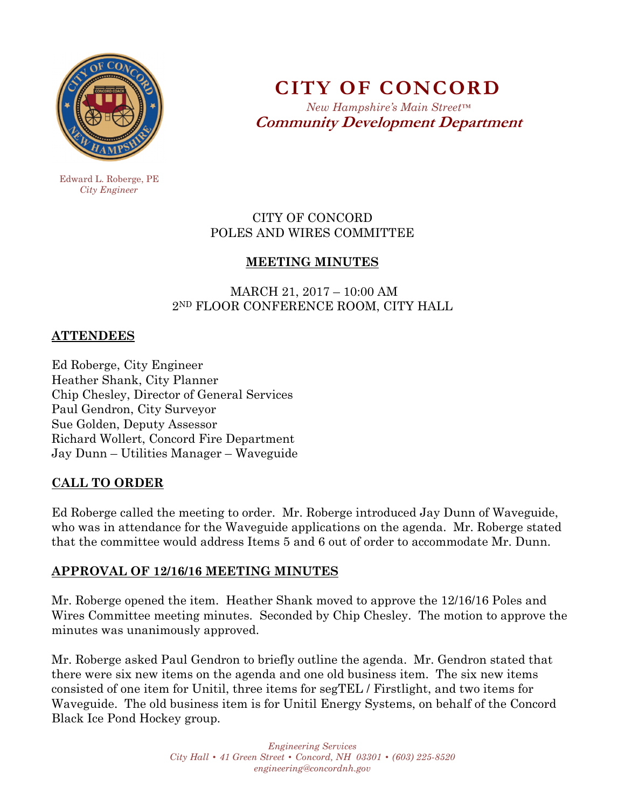

**CITY OF CONCORD**  *New Hampshire's Main Street™*

**Community Development Department** 

 Edward L. Roberge, PE  *City Engineer* 

### CITY OF CONCORD POLES AND WIRES COMMITTEE

# **MEETING MINUTES**

### MARCH 21, 2017 – 10:00 AM 2ND FLOOR CONFERENCE ROOM, CITY HALL

### **ATTENDEES**

Ed Roberge, City Engineer Heather Shank, City Planner Chip Chesley, Director of General Services Paul Gendron, City Surveyor Sue Golden, Deputy Assessor Richard Wollert, Concord Fire Department Jay Dunn – Utilities Manager – Waveguide

# **CALL TO ORDER**

Ed Roberge called the meeting to order. Mr. Roberge introduced Jay Dunn of Waveguide, who was in attendance for the Waveguide applications on the agenda. Mr. Roberge stated that the committee would address Items 5 and 6 out of order to accommodate Mr. Dunn.

# **APPROVAL OF 12/16/16 MEETING MINUTES**

Mr. Roberge opened the item. Heather Shank moved to approve the 12/16/16 Poles and Wires Committee meeting minutes. Seconded by Chip Chesley. The motion to approve the minutes was unanimously approved.

Mr. Roberge asked Paul Gendron to briefly outline the agenda. Mr. Gendron stated that there were six new items on the agenda and one old business item. The six new items consisted of one item for Unitil, three items for segTEL / Firstlight, and two items for Waveguide. The old business item is for Unitil Energy Systems, on behalf of the Concord Black Ice Pond Hockey group.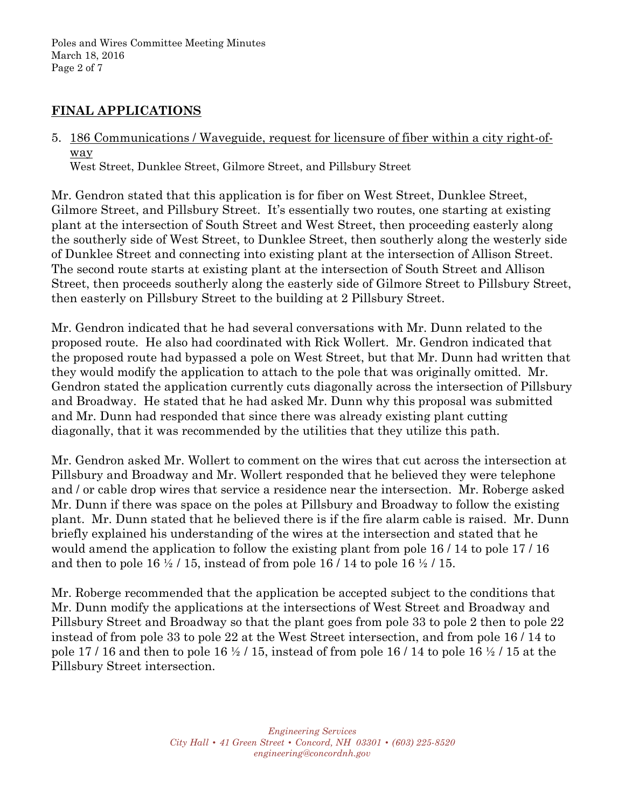### **FINAL APPLICATIONS**

5. 186 Communications / Waveguide, request for licensure of fiber within a city right-ofway West Street, Dunklee Street, Gilmore Street, and Pillsbury Street

Mr. Gendron stated that this application is for fiber on West Street, Dunklee Street, Gilmore Street, and Pillsbury Street. It's essentially two routes, one starting at existing plant at the intersection of South Street and West Street, then proceeding easterly along the southerly side of West Street, to Dunklee Street, then southerly along the westerly side of Dunklee Street and connecting into existing plant at the intersection of Allison Street. The second route starts at existing plant at the intersection of South Street and Allison Street, then proceeds southerly along the easterly side of Gilmore Street to Pillsbury Street, then easterly on Pillsbury Street to the building at 2 Pillsbury Street.

Mr. Gendron indicated that he had several conversations with Mr. Dunn related to the proposed route. He also had coordinated with Rick Wollert. Mr. Gendron indicated that the proposed route had bypassed a pole on West Street, but that Mr. Dunn had written that they would modify the application to attach to the pole that was originally omitted. Mr. Gendron stated the application currently cuts diagonally across the intersection of Pillsbury and Broadway. He stated that he had asked Mr. Dunn why this proposal was submitted and Mr. Dunn had responded that since there was already existing plant cutting diagonally, that it was recommended by the utilities that they utilize this path.

Mr. Gendron asked Mr. Wollert to comment on the wires that cut across the intersection at Pillsbury and Broadway and Mr. Wollert responded that he believed they were telephone and / or cable drop wires that service a residence near the intersection. Mr. Roberge asked Mr. Dunn if there was space on the poles at Pillsbury and Broadway to follow the existing plant. Mr. Dunn stated that he believed there is if the fire alarm cable is raised. Mr. Dunn briefly explained his understanding of the wires at the intersection and stated that he would amend the application to follow the existing plant from pole 16 / 14 to pole 17 / 16 and then to pole  $16 \frac{1}{2}$  / 15, instead of from pole  $16$  / 14 to pole  $16 \frac{1}{2}$  / 15.

Mr. Roberge recommended that the application be accepted subject to the conditions that Mr. Dunn modify the applications at the intersections of West Street and Broadway and Pillsbury Street and Broadway so that the plant goes from pole 33 to pole 2 then to pole 22 instead of from pole 33 to pole 22 at the West Street intersection, and from pole 16 / 14 to pole 17 / 16 and then to pole 16  $\frac{1}{2}$  / 15, instead of from pole 16 / 14 to pole 16  $\frac{1}{2}$  / 15 at the Pillsbury Street intersection.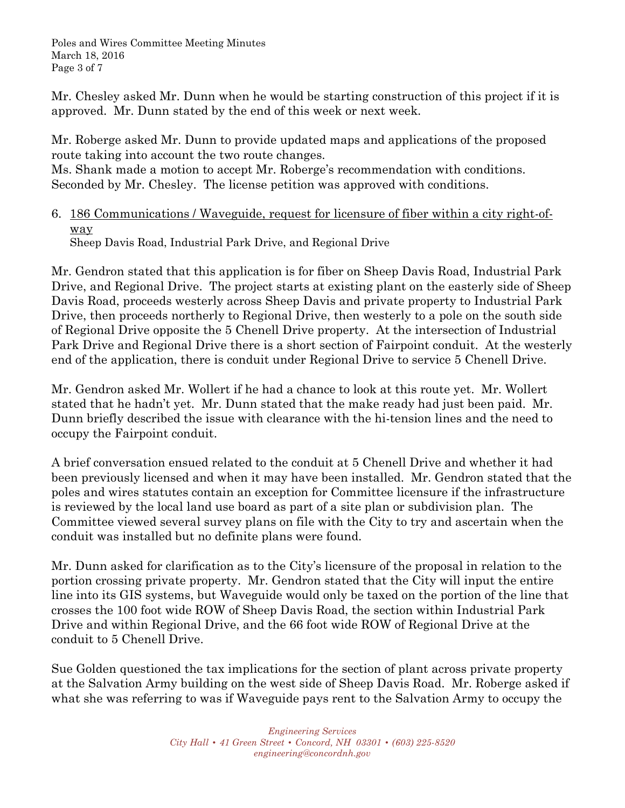Poles and Wires Committee Meeting Minutes March 18, 2016 Page 3 of 7

Mr. Chesley asked Mr. Dunn when he would be starting construction of this project if it is approved. Mr. Dunn stated by the end of this week or next week.

Mr. Roberge asked Mr. Dunn to provide updated maps and applications of the proposed route taking into account the two route changes.

Ms. Shank made a motion to accept Mr. Roberge's recommendation with conditions. Seconded by Mr. Chesley. The license petition was approved with conditions.

## 6. 186 Communications / Waveguide, request for licensure of fiber within a city right-ofway

Sheep Davis Road, Industrial Park Drive, and Regional Drive

Mr. Gendron stated that this application is for fiber on Sheep Davis Road, Industrial Park Drive, and Regional Drive. The project starts at existing plant on the easterly side of Sheep Davis Road, proceeds westerly across Sheep Davis and private property to Industrial Park Drive, then proceeds northerly to Regional Drive, then westerly to a pole on the south side of Regional Drive opposite the 5 Chenell Drive property. At the intersection of Industrial Park Drive and Regional Drive there is a short section of Fairpoint conduit. At the westerly end of the application, there is conduit under Regional Drive to service 5 Chenell Drive.

Mr. Gendron asked Mr. Wollert if he had a chance to look at this route yet. Mr. Wollert stated that he hadn't yet. Mr. Dunn stated that the make ready had just been paid. Mr. Dunn briefly described the issue with clearance with the hi-tension lines and the need to occupy the Fairpoint conduit.

A brief conversation ensued related to the conduit at 5 Chenell Drive and whether it had been previously licensed and when it may have been installed. Mr. Gendron stated that the poles and wires statutes contain an exception for Committee licensure if the infrastructure is reviewed by the local land use board as part of a site plan or subdivision plan. The Committee viewed several survey plans on file with the City to try and ascertain when the conduit was installed but no definite plans were found.

Mr. Dunn asked for clarification as to the City's licensure of the proposal in relation to the portion crossing private property. Mr. Gendron stated that the City will input the entire line into its GIS systems, but Waveguide would only be taxed on the portion of the line that crosses the 100 foot wide ROW of Sheep Davis Road, the section within Industrial Park Drive and within Regional Drive, and the 66 foot wide ROW of Regional Drive at the conduit to 5 Chenell Drive.

Sue Golden questioned the tax implications for the section of plant across private property at the Salvation Army building on the west side of Sheep Davis Road. Mr. Roberge asked if what she was referring to was if Waveguide pays rent to the Salvation Army to occupy the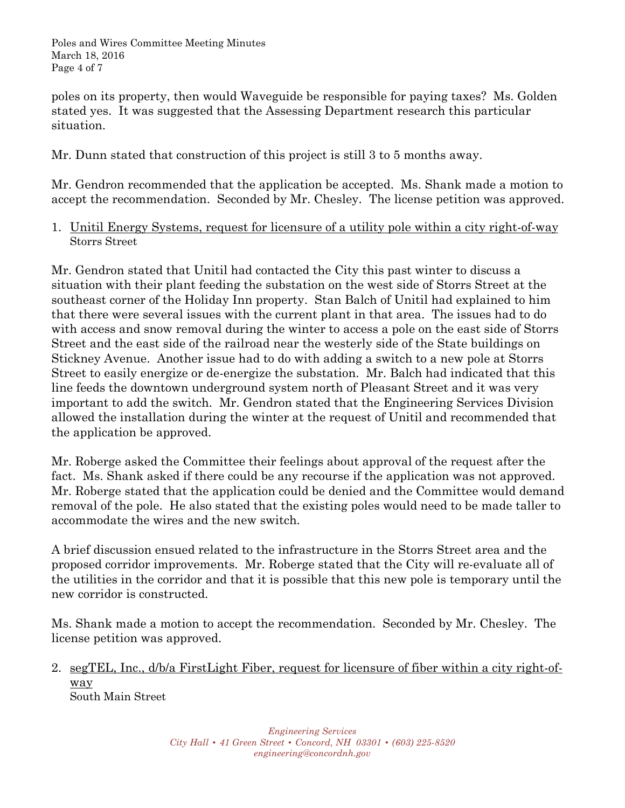Poles and Wires Committee Meeting Minutes March 18, 2016 Page 4 of 7

poles on its property, then would Waveguide be responsible for paying taxes? Ms. Golden stated yes. It was suggested that the Assessing Department research this particular situation.

Mr. Dunn stated that construction of this project is still 3 to 5 months away.

Mr. Gendron recommended that the application be accepted. Ms. Shank made a motion to accept the recommendation. Seconded by Mr. Chesley. The license petition was approved.

1. Unitil Energy Systems, request for licensure of a utility pole within a city right-of-way Storrs Street

Mr. Gendron stated that Unitil had contacted the City this past winter to discuss a situation with their plant feeding the substation on the west side of Storrs Street at the southeast corner of the Holiday Inn property. Stan Balch of Unitil had explained to him that there were several issues with the current plant in that area. The issues had to do with access and snow removal during the winter to access a pole on the east side of Storrs Street and the east side of the railroad near the westerly side of the State buildings on Stickney Avenue. Another issue had to do with adding a switch to a new pole at Storrs Street to easily energize or de-energize the substation. Mr. Balch had indicated that this line feeds the downtown underground system north of Pleasant Street and it was very important to add the switch. Mr. Gendron stated that the Engineering Services Division allowed the installation during the winter at the request of Unitil and recommended that the application be approved.

Mr. Roberge asked the Committee their feelings about approval of the request after the fact. Ms. Shank asked if there could be any recourse if the application was not approved. Mr. Roberge stated that the application could be denied and the Committee would demand removal of the pole. He also stated that the existing poles would need to be made taller to accommodate the wires and the new switch.

A brief discussion ensued related to the infrastructure in the Storrs Street area and the proposed corridor improvements. Mr. Roberge stated that the City will re-evaluate all of the utilities in the corridor and that it is possible that this new pole is temporary until the new corridor is constructed.

Ms. Shank made a motion to accept the recommendation. Seconded by Mr. Chesley. The license petition was approved.

2. segTEL, Inc., d/b/a FirstLight Fiber, request for licensure of fiber within a city right-ofway

South Main Street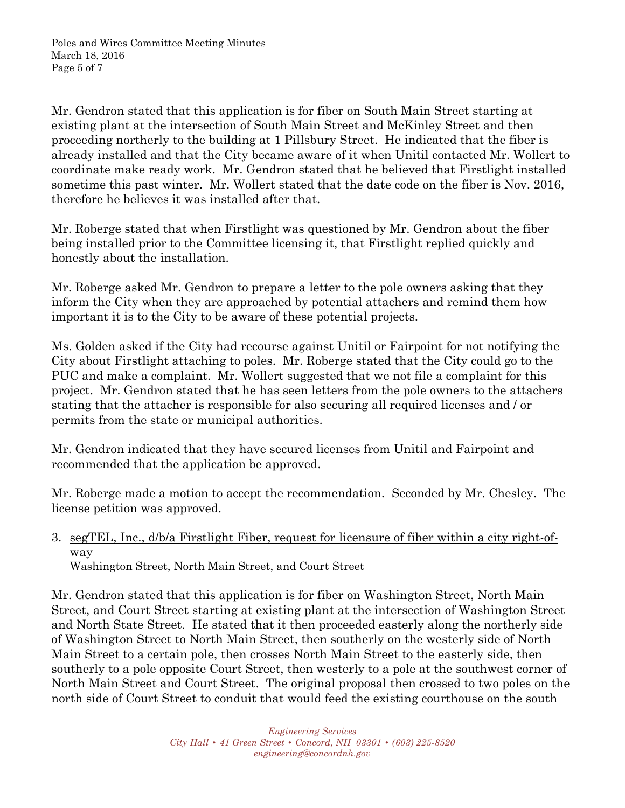Mr. Gendron stated that this application is for fiber on South Main Street starting at existing plant at the intersection of South Main Street and McKinley Street and then proceeding northerly to the building at 1 Pillsbury Street. He indicated that the fiber is already installed and that the City became aware of it when Unitil contacted Mr. Wollert to coordinate make ready work. Mr. Gendron stated that he believed that Firstlight installed sometime this past winter. Mr. Wollert stated that the date code on the fiber is Nov. 2016, therefore he believes it was installed after that.

Mr. Roberge stated that when Firstlight was questioned by Mr. Gendron about the fiber being installed prior to the Committee licensing it, that Firstlight replied quickly and honestly about the installation.

Mr. Roberge asked Mr. Gendron to prepare a letter to the pole owners asking that they inform the City when they are approached by potential attachers and remind them how important it is to the City to be aware of these potential projects.

Ms. Golden asked if the City had recourse against Unitil or Fairpoint for not notifying the City about Firstlight attaching to poles. Mr. Roberge stated that the City could go to the PUC and make a complaint. Mr. Wollert suggested that we not file a complaint for this project. Mr. Gendron stated that he has seen letters from the pole owners to the attachers stating that the attacher is responsible for also securing all required licenses and / or permits from the state or municipal authorities.

Mr. Gendron indicated that they have secured licenses from Unitil and Fairpoint and recommended that the application be approved.

Mr. Roberge made a motion to accept the recommendation. Seconded by Mr. Chesley. The license petition was approved.

# 3. segTEL, Inc., d/b/a Firstlight Fiber, request for licensure of fiber within a city right-ofway

Washington Street, North Main Street, and Court Street

Mr. Gendron stated that this application is for fiber on Washington Street, North Main Street, and Court Street starting at existing plant at the intersection of Washington Street and North State Street. He stated that it then proceeded easterly along the northerly side of Washington Street to North Main Street, then southerly on the westerly side of North Main Street to a certain pole, then crosses North Main Street to the easterly side, then southerly to a pole opposite Court Street, then westerly to a pole at the southwest corner of North Main Street and Court Street. The original proposal then crossed to two poles on the north side of Court Street to conduit that would feed the existing courthouse on the south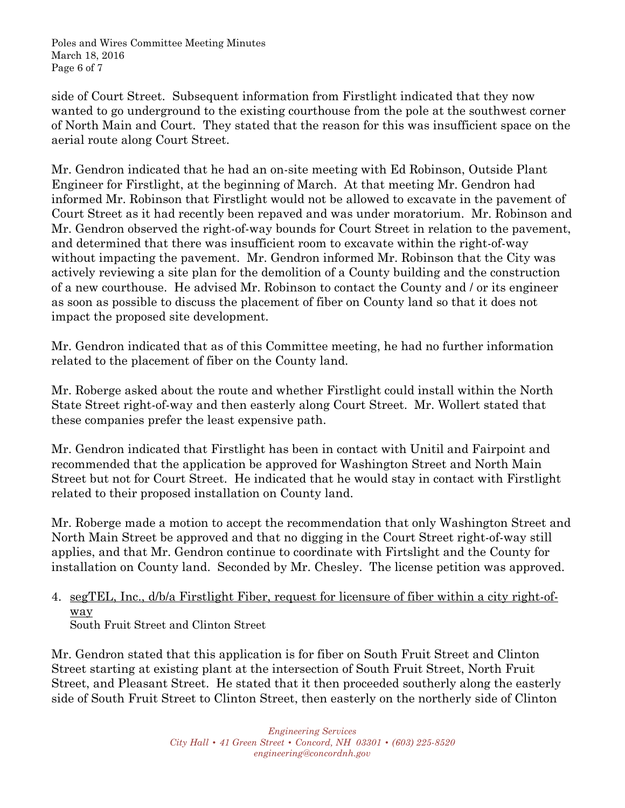Poles and Wires Committee Meeting Minutes March 18, 2016 Page 6 of 7

side of Court Street. Subsequent information from Firstlight indicated that they now wanted to go underground to the existing courthouse from the pole at the southwest corner of North Main and Court. They stated that the reason for this was insufficient space on the aerial route along Court Street.

Mr. Gendron indicated that he had an on-site meeting with Ed Robinson, Outside Plant Engineer for Firstlight, at the beginning of March. At that meeting Mr. Gendron had informed Mr. Robinson that Firstlight would not be allowed to excavate in the pavement of Court Street as it had recently been repaved and was under moratorium. Mr. Robinson and Mr. Gendron observed the right-of-way bounds for Court Street in relation to the pavement, and determined that there was insufficient room to excavate within the right-of-way without impacting the pavement. Mr. Gendron informed Mr. Robinson that the City was actively reviewing a site plan for the demolition of a County building and the construction of a new courthouse. He advised Mr. Robinson to contact the County and / or its engineer as soon as possible to discuss the placement of fiber on County land so that it does not impact the proposed site development.

Mr. Gendron indicated that as of this Committee meeting, he had no further information related to the placement of fiber on the County land.

Mr. Roberge asked about the route and whether Firstlight could install within the North State Street right-of-way and then easterly along Court Street. Mr. Wollert stated that these companies prefer the least expensive path.

Mr. Gendron indicated that Firstlight has been in contact with Unitil and Fairpoint and recommended that the application be approved for Washington Street and North Main Street but not for Court Street. He indicated that he would stay in contact with Firstlight related to their proposed installation on County land.

Mr. Roberge made a motion to accept the recommendation that only Washington Street and North Main Street be approved and that no digging in the Court Street right-of-way still applies, and that Mr. Gendron continue to coordinate with Firtslight and the County for installation on County land. Seconded by Mr. Chesley. The license petition was approved.

# 4. segTEL, Inc., d/b/a Firstlight Fiber, request for licensure of fiber within a city right-ofway

South Fruit Street and Clinton Street

Mr. Gendron stated that this application is for fiber on South Fruit Street and Clinton Street starting at existing plant at the intersection of South Fruit Street, North Fruit Street, and Pleasant Street. He stated that it then proceeded southerly along the easterly side of South Fruit Street to Clinton Street, then easterly on the northerly side of Clinton